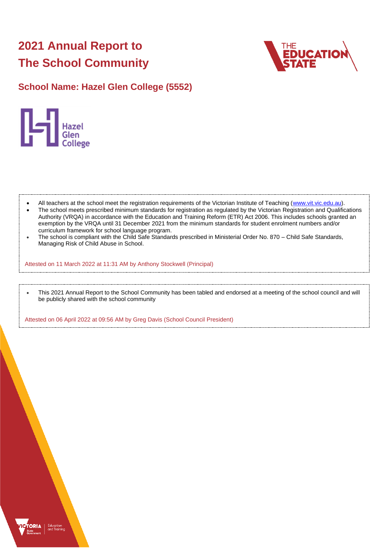# **2021 Annual Report to The School Community**



# **School Name: Hazel Glen College (5552)**



- All teachers at the school meet the registration requirements of the Victorian Institute of Teaching [\(www.vit.vic.edu.au\)](https://www.vit.vic.edu.au/).
- The school meets prescribed minimum standards for registration as regulated by the Victorian Registration and Qualifications Authority (VRQA) in accordance with the Education and Training Reform (ETR) Act 2006. This includes schools granted an exemption by the VRQA until 31 December 2021 from the minimum standards for student enrolment numbers and/or curriculum framework for school language program.
- The school is compliant with the Child Safe Standards prescribed in Ministerial Order No. 870 Child Safe Standards, Managing Risk of Child Abuse in School.

Attested on 11 March 2022 at 11:31 AM by Anthony Stockwell (Principal)

• This 2021 Annual Report to the School Community has been tabled and endorsed at a meeting of the school council and will be publicly shared with the school community

Attested on 06 April 2022 at 09:56 AM by Greg Davis (School Council President)

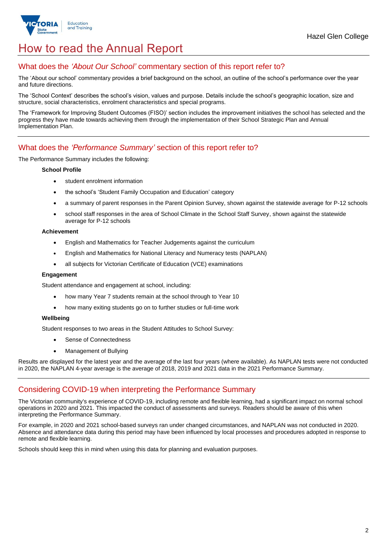

# How to read the Annual Report

## What does the *'About Our School'* commentary section of this report refer to?

The 'About our school' commentary provides a brief background on the school, an outline of the school's performance over the year and future directions.

The 'School Context' describes the school's vision, values and purpose. Details include the school's geographic location, size and structure, social characteristics, enrolment characteristics and special programs.

The 'Framework for Improving Student Outcomes (FISO)' section includes the improvement initiatives the school has selected and the progress they have made towards achieving them through the implementation of their School Strategic Plan and Annual Implementation Plan.

## What does the *'Performance Summary'* section of this report refer to?

## The Performance Summary includes the following:

#### **School Profile**

- student enrolment information
- the school's 'Student Family Occupation and Education' category
- a summary of parent responses in the Parent Opinion Survey, shown against the statewide average for P-12 schools
- school staff responses in the area of School Climate in the School Staff Survey, shown against the statewide average for P-12 schools

#### **Achievement**

- English and Mathematics for Teacher Judgements against the curriculum
- English and Mathematics for National Literacy and Numeracy tests (NAPLAN)
- all subjects for Victorian Certificate of Education (VCE) examinations

#### **Engagement**

Student attendance and engagement at school, including:

- how many Year 7 students remain at the school through to Year 10
- how many exiting students go on to further studies or full-time work

## **Wellbeing**

Student responses to two areas in the Student Attitudes to School Survey:

- Sense of Connectedness
- Management of Bullying

Results are displayed for the latest year and the average of the last four years (where available). As NAPLAN tests were not conducted in 2020, the NAPLAN 4-year average is the average of 2018, 2019 and 2021 data in the 2021 Performance Summary.

## Considering COVID-19 when interpreting the Performance Summary

The Victorian community's experience of COVID-19, including remote and flexible learning, had a significant impact on normal school operations in 2020 and 2021. This impacted the conduct of assessments and surveys. Readers should be aware of this when interpreting the Performance Summary.

For example, in 2020 and 2021 school-based surveys ran under changed circumstances, and NAPLAN was not conducted in 2020. Absence and attendance data during this period may have been influenced by local processes and procedures adopted in response to remote and flexible learning.

Schools should keep this in mind when using this data for planning and evaluation purposes.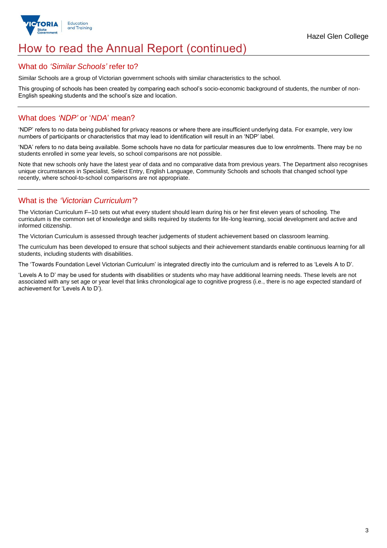

# How to read the Annual Report (continued)

## What do *'Similar Schools'* refer to?

Similar Schools are a group of Victorian government schools with similar characteristics to the school.

This grouping of schools has been created by comparing each school's socio-economic background of students, the number of non-English speaking students and the school's size and location.

## What does *'NDP'* or '*NDA*' mean?

'NDP' refers to no data being published for privacy reasons or where there are insufficient underlying data. For example, very low numbers of participants or characteristics that may lead to identification will result in an 'NDP' label.

'NDA' refers to no data being available. Some schools have no data for particular measures due to low enrolments. There may be no students enrolled in some year levels, so school comparisons are not possible.

Note that new schools only have the latest year of data and no comparative data from previous years. The Department also recognises unique circumstances in Specialist, Select Entry, English Language, Community Schools and schools that changed school type recently, where school-to-school comparisons are not appropriate.

## What is the *'Victorian Curriculum'*?

The Victorian Curriculum F–10 sets out what every student should learn during his or her first eleven years of schooling. The curriculum is the common set of knowledge and skills required by students for life-long learning, social development and active and informed citizenship.

The Victorian Curriculum is assessed through teacher judgements of student achievement based on classroom learning.

The curriculum has been developed to ensure that school subjects and their achievement standards enable continuous learning for all students, including students with disabilities.

The 'Towards Foundation Level Victorian Curriculum' is integrated directly into the curriculum and is referred to as 'Levels A to D'.

'Levels A to D' may be used for students with disabilities or students who may have additional learning needs. These levels are not associated with any set age or year level that links chronological age to cognitive progress (i.e., there is no age expected standard of achievement for 'Levels A to D').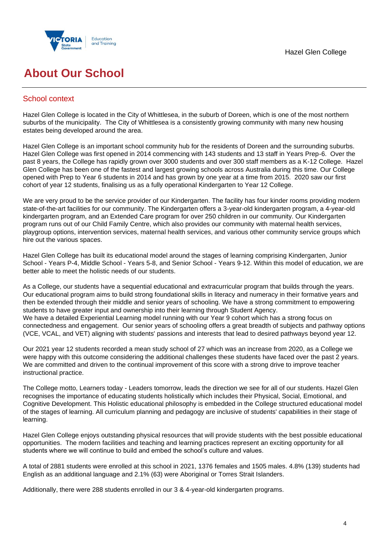

# **About Our School**

## School context

Hazel Glen College is located in the City of Whittlesea, in the suburb of Doreen, which is one of the most northern suburbs of the municipality. The City of Whittlesea is a consistently growing community with many new housing estates being developed around the area.

Hazel Glen College is an important school community hub for the residents of Doreen and the surrounding suburbs. Hazel Glen College was first opened in 2014 commencing with 143 students and 13 staff in Years Prep-6. Over the past 8 years, the College has rapidly grown over 3000 students and over 300 staff members as a K-12 College. Hazel Glen College has been one of the fastest and largest growing schools across Australia during this time. Our College opened with Prep to Year 6 students in 2014 and has grown by one year at a time from 2015. 2020 saw our first cohort of year 12 students, finalising us as a fully operational Kindergarten to Year 12 College.

We are very proud to be the service provider of our Kindergarten. The facility has four kinder rooms providing modern state-of-the-art facilities for our community. The Kindergarten offers a 3-year-old kindergarten program, a 4-year-old kindergarten program, and an Extended Care program for over 250 children in our community. Our Kindergarten program runs out of our Child Family Centre, which also provides our community with maternal health services, playgroup options, intervention services, maternal health services, and various other community service groups which hire out the various spaces.

Hazel Glen College has built its educational model around the stages of learning comprising Kindergarten, Junior School - Years P-4, Middle School - Years 5-8, and Senior School - Years 9-12. Within this model of education, we are better able to meet the holistic needs of our students.

As a College, our students have a sequential educational and extracurricular program that builds through the years. Our educational program aims to build strong foundational skills in literacy and numeracy in their formative years and then be extended through their middle and senior years of schooling. We have a strong commitment to empowering students to have greater input and ownership into their learning through Student Agency. We have a detailed Experiential Learning model running with our Year 9 cohort which has a strong focus on connectedness and engagement. Our senior years of schooling offers a great breadth of subjects and pathway options (VCE, VCAL, and VET) aligning with students' passions and interests that lead to desired pathways beyond year 12.

Our 2021 year 12 students recorded a mean study school of 27 which was an increase from 2020, as a College we were happy with this outcome considering the additional challenges these students have faced over the past 2 years. We are committed and driven to the continual improvement of this score with a strong drive to improve teacher instructional practice.

The College motto, Learners today - Leaders tomorrow, leads the direction we see for all of our students. Hazel Glen recognises the importance of educating students holistically which includes their Physical, Social, Emotional, and Cognitive Development. This Holistic educational philosophy is embedded in the College structured educational model of the stages of learning. All curriculum planning and pedagogy are inclusive of students' capabilities in their stage of learning.

Hazel Glen College enjoys outstanding physical resources that will provide students with the best possible educational opportunities. The modern facilities and teaching and learning practices represent an exciting opportunity for all students where we will continue to build and embed the school's culture and values.

A total of 2881 students were enrolled at this school in 2021, 1376 females and 1505 males. 4.8% (139) students had English as an additional language and 2.1% (63) were Aboriginal or Torres Strait Islanders.

Additionally, there were 288 students enrolled in our 3 & 4-year-old kindergarten programs.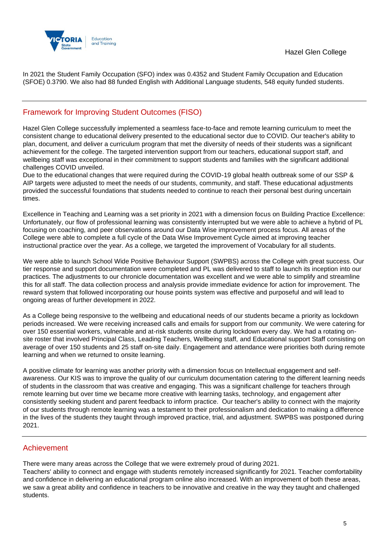

In 2021 the Student Family Occupation (SFO) index was 0.4352 and Student Family Occupation and Education (SFOE) 0.3790. We also had 88 funded English with Additional Language students, 548 equity funded students.

## Framework for Improving Student Outcomes (FISO)

Hazel Glen College successfully implemented a seamless face-to-face and remote learning curriculum to meet the consistent change to educational delivery presented to the educational sector due to COVID. Our teacher's ability to plan, document, and deliver a curriculum program that met the diversity of needs of their students was a significant achievement for the college. The targeted intervention support from our teachers, educational support staff, and wellbeing staff was exceptional in their commitment to support students and families with the significant additional challenges COVID unveiled.

Due to the educational changes that were required during the COVID-19 global health outbreak some of our SSP & AIP targets were adjusted to meet the needs of our students, community, and staff. These educational adjustments provided the successful foundations that students needed to continue to reach their personal best during uncertain times.

Excellence in Teaching and Learning was a set priority in 2021 with a dimension focus on Building Practice Excellence: Unfortunately, our flow of professional learning was consistently interrupted but we were able to achieve a hybrid of PL focusing on coaching, and peer observations around our Data Wise improvement process focus. All areas of the College were able to complete a full cycle of the Data Wise Improvement Cycle aimed at improving teacher instructional practice over the year. As a college, we targeted the improvement of Vocabulary for all students.

We were able to launch School Wide Positive Behaviour Support (SWPBS) across the College with great success. Our tier response and support documentation were completed and PL was delivered to staff to launch its inception into our practices. The adjustments to our chronicle documentation was excellent and we were able to simplify and streamline this for all staff. The data collection process and analysis provide immediate evidence for action for improvement. The reward system that followed incorporating our house points system was effective and purposeful and will lead to ongoing areas of further development in 2022.

As a College being responsive to the wellbeing and educational needs of our students became a priority as lockdown periods increased. We were receiving increased calls and emails for support from our community. We were catering for over 150 essential workers, vulnerable and at-risk students onsite during lockdown every day. We had a rotating onsite roster that involved Principal Class, Leading Teachers, Wellbeing staff, and Educational support Staff consisting on average of over 150 students and 25 staff on-site daily. Engagement and attendance were priorities both during remote learning and when we returned to onsite learning.

A positive climate for learning was another priority with a dimension focus on Intellectual engagement and selfawareness. Our KIS was to improve the quality of our curriculum documentation catering to the different learning needs of students in the classroom that was creative and engaging. This was a significant challenge for teachers through remote learning but over time we became more creative with learning tasks, technology, and engagement after consistently seeking student and parent feedback to inform practice. Our teacher's ability to connect with the majority of our students through remote learning was a testament to their professionalism and dedication to making a difference in the lives of the students they taught through improved practice, trial, and adjustment. SWPBS was postponed during 2021.

## Achievement

There were many areas across the College that we were extremely proud of during 2021.

Teachers' ability to connect and engage with students remotely increased significantly for 2021. Teacher comfortability and confidence in delivering an educational program online also increased. With an improvement of both these areas, we saw a great ability and confidence in teachers to be innovative and creative in the way they taught and challenged students.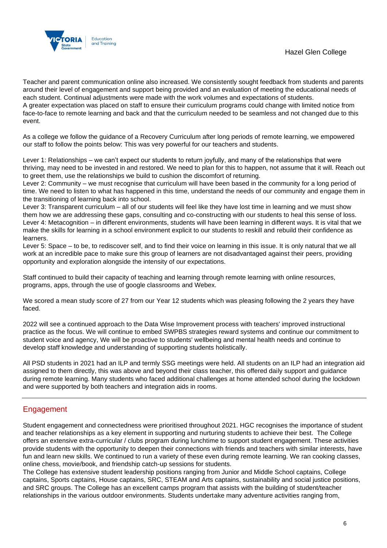

Teacher and parent communication online also increased. We consistently sought feedback from students and parents around their level of engagement and support being provided and an evaluation of meeting the educational needs of each student. Continual adjustments were made with the work volumes and expectations of students. A greater expectation was placed on staff to ensure their curriculum programs could change with limited notice from

face-to-face to remote learning and back and that the curriculum needed to be seamless and not changed due to this event.

As a college we follow the guidance of a Recovery Curriculum after long periods of remote learning, we empowered our staff to follow the points below: This was very powerful for our teachers and students.

Lever 1: Relationships – we can't expect our students to return joyfully, and many of the relationships that were thriving, may need to be invested in and restored. We need to plan for this to happen, not assume that it will. Reach out to greet them, use the relationships we build to cushion the discomfort of returning.

Lever 2: Community – we must recognise that curriculum will have been based in the community for a long period of time. We need to listen to what has happened in this time, understand the needs of our community and engage them in the transitioning of learning back into school.

Lever 3: Transparent curriculum – all of our students will feel like they have lost time in learning and we must show them how we are addressing these gaps, consulting and co-constructing with our students to heal this sense of loss. Lever 4: Metacognition – in different environments, students will have been learning in different ways. It is vital that we make the skills for learning in a school environment explicit to our students to reskill and rebuild their confidence as learners.

Lever 5: Space – to be, to rediscover self, and to find their voice on learning in this issue. It is only natural that we all work at an incredible pace to make sure this group of learners are not disadvantaged against their peers, providing opportunity and exploration alongside the intensity of our expectations.

Staff continued to build their capacity of teaching and learning through remote learning with online resources, programs, apps, through the use of google classrooms and Webex.

We scored a mean study score of 27 from our Year 12 students which was pleasing following the 2 years they have faced.

2022 will see a continued approach to the Data Wise Improvement process with teachers' improved instructional practice as the focus. We will continue to embed SWPBS strategies reward systems and continue our commitment to student voice and agency, We will be proactive to students' wellbeing and mental health needs and continue to develop staff knowledge and understanding of supporting students holistically.

All PSD students in 2021 had an ILP and termly SSG meetings were held. All students on an ILP had an integration aid assigned to them directly, this was above and beyond their class teacher, this offered daily support and guidance during remote learning. Many students who faced additional challenges at home attended school during the lockdown and were supported by both teachers and integration aids in rooms.

## Engagement

Student engagement and connectedness were prioritised throughout 2021. HGC recognises the importance of student and teacher relationships as a key element in supporting and nurturing students to achieve their best. The College offers an extensive extra-curricular / clubs program during lunchtime to support student engagement. These activities provide students with the opportunity to deepen their connections with friends and teachers with similar interests, have fun and learn new skills. We continued to run a variety of these even during remote learning. We ran cooking classes, online chess, movie/book, and friendship catch-up sessions for students.

The College has extensive student leadership positions ranging from Junior and Middle School captains, College captains, Sports captains, House captains, SRC, STEAM and Arts captains, sustainability and social justice positions, and SRC groups. The College has an excellent camps program that assists with the building of student/teacher relationships in the various outdoor environments. Students undertake many adventure activities ranging from,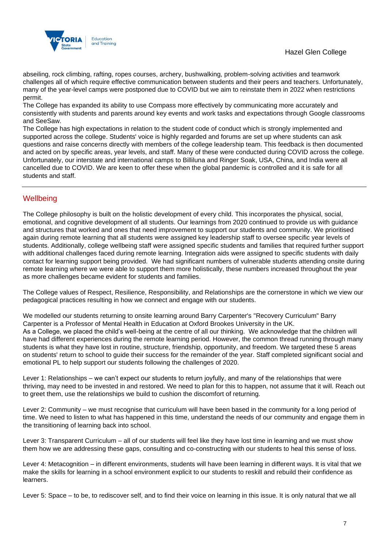

abseiling, rock climbing, rafting, ropes courses, archery, bushwalking, problem-solving activities and teamwork challenges all of which require effective communication between students and their peers and teachers. Unfortunately, many of the year-level camps were postponed due to COVID but we aim to reinstate them in 2022 when restrictions permit.

The College has expanded its ability to use Compass more effectively by communicating more accurately and consistently with students and parents around key events and work tasks and expectations through Google classrooms and SeeSaw.

The College has high expectations in relation to the student code of conduct which is strongly implemented and supported across the college. Students' voice is highly regarded and forums are set up where students can ask questions and raise concerns directly with members of the college leadership team. This feedback is then documented and acted on by specific areas, year levels, and staff. Many of these were conducted during COVID across the college. Unfortunately, our interstate and international camps to Billiluna and Ringer Soak, USA, China, and India were all cancelled due to COVID. We are keen to offer these when the global pandemic is controlled and it is safe for all students and staff.

## **Wellbeing**

The College philosophy is built on the holistic development of every child. This incorporates the physical, social, emotional, and cognitive development of all students. Our learnings from 2020 continued to provide us with guidance and structures that worked and ones that need improvement to support our students and community. We prioritised again during remote learning that all students were assigned key leadership staff to oversee specific year levels of students. Additionally, college wellbeing staff were assigned specific students and families that required further support with additional challenges faced during remote learning. Integration aids were assigned to specific students with daily contact for learning support being provided. We had significant numbers of vulnerable students attending onsite during remote learning where we were able to support them more holistically, these numbers increased throughout the year as more challenges became evident for students and families.

The College values of Respect, Resilience, Responsibility, and Relationships are the cornerstone in which we view our pedagogical practices resulting in how we connect and engage with our students.

We modelled our students returning to onsite learning around Barry Carpenter's "Recovery Curriculum" Barry Carpenter is a Professor of Mental Health in Education at Oxford Brookes University in the UK. As a College, we placed the child's well-being at the centre of all our thinking. We acknowledge that the children will have had different experiences during the remote learning period. However, the common thread running through many students is what they have lost in routine, structure, friendship, opportunity, and freedom. We targeted these 5 areas on students' return to school to guide their success for the remainder of the year. Staff completed significant social and emotional PL to help support our students following the challenges of 2020.

Lever 1: Relationships – we can't expect our students to return joyfully, and many of the relationships that were thriving, may need to be invested in and restored. We need to plan for this to happen, not assume that it will. Reach out to greet them, use the relationships we build to cushion the discomfort of returning.

Lever 2: Community – we must recognise that curriculum will have been based in the community for a long period of time. We need to listen to what has happened in this time, understand the needs of our community and engage them in the transitioning of learning back into school.

Lever 3: Transparent Curriculum – all of our students will feel like they have lost time in learning and we must show them how we are addressing these gaps, consulting and co-constructing with our students to heal this sense of loss.

Lever 4: Metacognition – in different environments, students will have been learning in different ways. It is vital that we make the skills for learning in a school environment explicit to our students to reskill and rebuild their confidence as learners.

Lever 5: Space – to be, to rediscover self, and to find their voice on learning in this issue. It is only natural that we all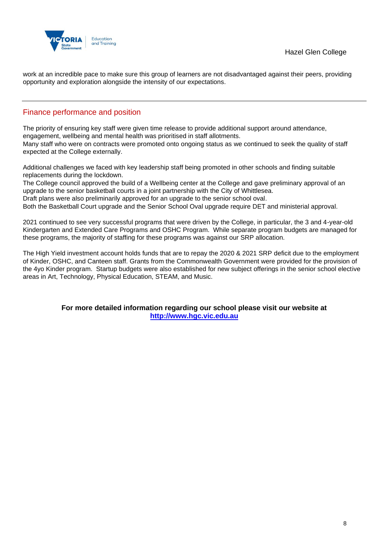

work at an incredible pace to make sure this group of learners are not disadvantaged against their peers, providing opportunity and exploration alongside the intensity of our expectations.

## Finance performance and position

The priority of ensuring key staff were given time release to provide additional support around attendance, engagement, wellbeing and mental health was prioritised in staff allotments. Many staff who were on contracts were promoted onto ongoing status as we continued to seek the quality of staff expected at the College externally.

Additional challenges we faced with key leadership staff being promoted in other schools and finding suitable replacements during the lockdown.

The College council approved the build of a Wellbeing center at the College and gave preliminary approval of an upgrade to the senior basketball courts in a joint partnership with the City of Whittlesea.

Draft plans were also preliminarily approved for an upgrade to the senior school oval.

Both the Basketball Court upgrade and the Senior School Oval upgrade require DET and ministerial approval.

2021 continued to see very successful programs that were driven by the College, in particular, the 3 and 4-year-old Kindergarten and Extended Care Programs and OSHC Program. While separate program budgets are managed for these programs, the majority of staffing for these programs was against our SRP allocation.

The High Yield investment account holds funds that are to repay the 2020 & 2021 SRP deficit due to the employment of Kinder, OSHC, and Canteen staff. Grants from the Commonwealth Government were provided for the provision of the 4yo Kinder program. Startup budgets were also established for new subject offerings in the senior school elective areas in Art, Technology, Physical Education, STEAM, and Music.

## **For more detailed information regarding our school please visit our website at [http://www.hgc.vic.edu.au](http://www.hgc.vic.edu.au/)**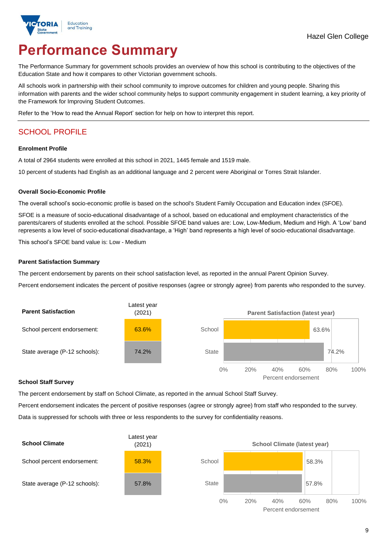

# **Performance Summary**

The Performance Summary for government schools provides an overview of how this school is contributing to the objectives of the Education State and how it compares to other Victorian government schools.

All schools work in partnership with their school community to improve outcomes for children and young people. Sharing this information with parents and the wider school community helps to support community engagement in student learning, a key priority of the Framework for Improving Student Outcomes.

Refer to the 'How to read the Annual Report' section for help on how to interpret this report.

# SCHOOL PROFILE

#### **Enrolment Profile**

A total of 2964 students were enrolled at this school in 2021, 1445 female and 1519 male.

10 percent of students had English as an additional language and 2 percent were Aboriginal or Torres Strait Islander.

#### **Overall Socio-Economic Profile**

The overall school's socio-economic profile is based on the school's Student Family Occupation and Education index (SFOE).

SFOE is a measure of socio-educational disadvantage of a school, based on educational and employment characteristics of the parents/carers of students enrolled at the school. Possible SFOE band values are: Low, Low-Medium, Medium and High. A 'Low' band represents a low level of socio-educational disadvantage, a 'High' band represents a high level of socio-educational disadvantage.

This school's SFOE band value is: Low - Medium

#### **Parent Satisfaction Summary**

The percent endorsement by parents on their school satisfaction level, as reported in the annual Parent Opinion Survey.

Percent endorsement indicates the percent of positive responses (agree or strongly agree) from parents who responded to the survey.



### **School Staff Survey**

The percent endorsement by staff on School Climate, as reported in the annual School Staff Survey.

Percent endorsement indicates the percent of positive responses (agree or strongly agree) from staff who responded to the survey. Data is suppressed for schools with three or less respondents to the survey for confidentiality reasons.

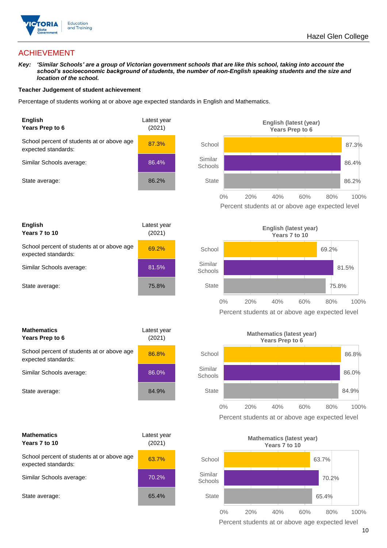

## ACHIEVEMENT

*Key: 'Similar Schools' are a group of Victorian government schools that are like this school, taking into account the school's socioeconomic background of students, the number of non-English speaking students and the size and location of the school.*

#### **Teacher Judgement of student achievement**

Percentage of students working at or above age expected standards in English and Mathematics.





| <b>Mathematics</b><br>Years Prep to 6                             | Latest year<br>(2021) |  |
|-------------------------------------------------------------------|-----------------------|--|
| School percent of students at or above age<br>expected standards: | 86.8%                 |  |
| Similar Schools average:                                          | 86.0%                 |  |
| State average:                                                    | 84.9%                 |  |

| <b>Mathematics</b><br>Years 7 to 10                               | Latest year<br>(2021) |  |
|-------------------------------------------------------------------|-----------------------|--|
| School percent of students at or above age<br>expected standards: | 63.7%                 |  |
| Similar Schools average:                                          | 70.2%                 |  |
| State average:                                                    | 65.4%                 |  |







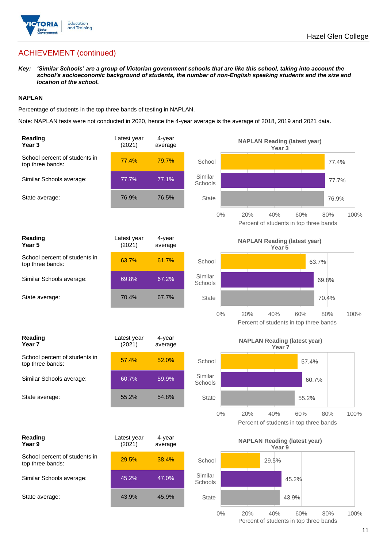

*Key: 'Similar Schools' are a group of Victorian government schools that are like this school, taking into account the school's socioeconomic background of students, the number of non-English speaking students and the size and location of the school.*

## **NAPLAN**

Percentage of students in the top three bands of testing in NAPLAN.

Note: NAPLAN tests were not conducted in 2020, hence the 4-year average is the average of 2018, 2019 and 2021 data.

| Reading<br>Year <sub>3</sub>                      | Latest year<br>(2021) | 4-year<br>average |                    | <b>NAPLAN Reading (latest year)</b><br>Year <sub>3</sub>                   |
|---------------------------------------------------|-----------------------|-------------------|--------------------|----------------------------------------------------------------------------|
| School percent of students in<br>top three bands: | 77.4%                 | 79.7%             | School             | 77.4%                                                                      |
| Similar Schools average:                          | 77.7%                 | 77.1%             | Similar<br>Schools | 77.7%                                                                      |
| State average:                                    | 76.9%                 | 76.5%             | <b>State</b>       | 76.9%                                                                      |
|                                                   |                       |                   | $0\%$              | 60%<br>20%<br>40%<br>80%<br>100%<br>Percent of students in top three bands |
| Reading<br>Year <sub>5</sub>                      | Latest year<br>(2021) | 4-year<br>average |                    | <b>NAPLAN Reading (latest year)</b><br>Year 5                              |
| School percent of students in<br>top three bands: | 63.7%                 | 61.7%             | School             | 63.7%                                                                      |
| Similar Schools average:                          | 69.8%                 | 67.2%             | Similar<br>Schools | 69.8%                                                                      |
| State average:                                    | 70.4%                 | 67.7%             | <b>State</b>       | 70.4%                                                                      |
|                                                   |                       |                   | $0\%$              | 40%<br>20%<br>60%<br>80%<br>100%<br>Percent of students in top three bands |
| Reading<br>Year <sub>7</sub>                      | Latest year<br>(2021) | 4-year<br>average |                    | <b>NAPLAN Reading (latest year)</b><br>Year <sub>7</sub>                   |
| School percent of students in<br>top three bands: | 57.4%                 | 52.0%             | School             | 57.4%                                                                      |
|                                                   |                       |                   |                    |                                                                            |
| Similar Schools average:                          | 60.7%                 | 59.9%             | Similar<br>Schools | 60.7%                                                                      |
| State average:                                    | 55.2%                 | 54.8%             | <b>State</b>       | 55.2%                                                                      |
|                                                   |                       |                   | $0\%$              | 20%<br>40%<br>60%<br>80%<br>100%<br>Percent of students in top three bands |
| Reading<br>Year 9                                 | Latest year<br>(2021) | 4-year<br>average |                    | <b>NAPLAN Reading (latest year)</b><br>Year 9                              |
| School percent of students in<br>top three bands: | 29.5%                 | 38.4%             | School             | 29.5%                                                                      |
| Similar Schools average:                          | 45.2%                 | 47.0%             | Similar<br>Schools | 45.2%                                                                      |
| State average:                                    | 43.9%                 | 45.9%             | <b>State</b>       | 43.9%                                                                      |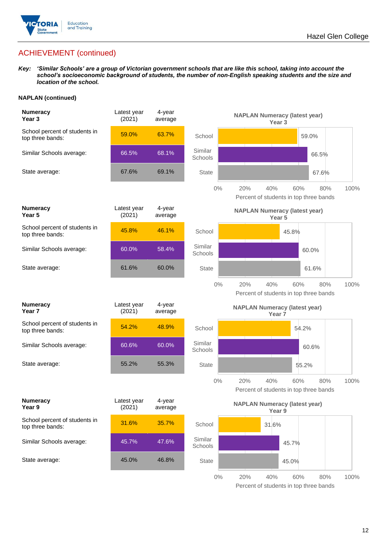

*Key: 'Similar Schools' are a group of Victorian government schools that are like this school, taking into account the school's socioeconomic background of students, the number of non-English speaking students and the size and location of the school.*

## **NAPLAN (continued)**

| <b>Numeracy</b><br>Year <sub>3</sub>              | Latest year<br>(2021) | 4-year<br>average |                    | <b>NAPLAN Numeracy (latest year)</b><br>Year 3                             |
|---------------------------------------------------|-----------------------|-------------------|--------------------|----------------------------------------------------------------------------|
| School percent of students in<br>top three bands: | 59.0%                 | 63.7%             | School             | 59.0%                                                                      |
| Similar Schools average:                          | 66.5%                 | 68.1%             | Similar<br>Schools | 66.5%                                                                      |
| State average:                                    | 67.6%                 | 69.1%             | <b>State</b>       | 67.6%                                                                      |
|                                                   |                       |                   | $0\%$              | 40%<br>20%<br>60%<br>80%<br>100%<br>Percent of students in top three bands |
| <b>Numeracy</b><br>Year <sub>5</sub>              | Latest year<br>(2021) | 4-year<br>average |                    | <b>NAPLAN Numeracy (latest year)</b><br>Year <sub>5</sub>                  |
| School percent of students in<br>top three bands: | 45.8%                 | 46.1%             | School             | 45.8%                                                                      |
| Similar Schools average:                          | 60.0%                 | 58.4%             | Similar<br>Schools | 60.0%                                                                      |
| State average:                                    | 61.6%                 | 60.0%             | <b>State</b>       | 61.6%                                                                      |
|                                                   |                       |                   | $0\%$              | 20%<br>40%<br>60%<br>80%<br>100%<br>Percent of students in top three bands |
| <b>Numeracy</b><br>Year 7                         | Latest year<br>(2021) | 4-year<br>average |                    | <b>NAPLAN Numeracy (latest year)</b><br>Year <sub>7</sub>                  |
| School percent of students in<br>top three bands: | 54.2%                 | 48.9%             | School             | 54.2%                                                                      |
| Similar Schools average:                          | 60.6%                 | 60.0%             | Similar<br>Schools | 60.6%                                                                      |
| State average:                                    | 55.2%                 | 55.3%             | <b>State</b>       | 55.2%                                                                      |
|                                                   |                       |                   | $0\%$              | 20%<br>40%<br>80%<br>60%<br>100%<br>Percent of students in top three bands |
| <b>Numeracy</b><br>Year 9                         | Latest year<br>(2021) | 4-year<br>average |                    | <b>NAPLAN Numeracy (latest year)</b><br>Year 9                             |
| School percent of students in<br>top three bands: | 31.6%                 | 35.7%             | School             | 31.6%                                                                      |
| Similar Schools average:                          | 45.7%                 | 47.6%             | Similar<br>Schools | 45.7%                                                                      |
| State average:                                    | 45.0%                 | 46.8%             | <b>State</b>       | 45.0%                                                                      |
|                                                   |                       |                   | $0\%$              | 20%<br>40%<br>$80\%$<br>60%<br>100%                                        |

Percent of students in top three bands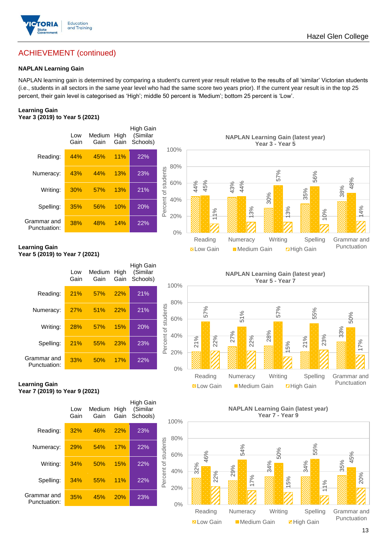

## **NAPLAN Learning Gain**

NAPLAN learning gain is determined by comparing a student's current year result relative to the results of all 'similar' Victorian students (i.e., students in all sectors in the same year level who had the same score two years prior). If the current year result is in the top 25 percent, their gain level is categorised as 'High'; middle 50 percent is 'Medium'; bottom 25 percent is 'Low'.

#### **Learning Gain Year 3 (2019) to Year 5 (2021)**





#### **Learning Gain Year 5 (2019) to Year 7 (2021)**

|                             | Low<br>Gain | Medium<br>Gain | High<br>Gain | <b>High Gain</b><br>(Similar<br>Schools) | 1                   |
|-----------------------------|-------------|----------------|--------------|------------------------------------------|---------------------|
| Reading:                    | 21%         | 57%            | 22%          | 21%                                      |                     |
| Numeracy:                   | 27%         | 51%            | 22%          | 21%                                      |                     |
| Writing:                    | 28%         | 57%            | 15%          | 20%                                      |                     |
| Spelling:                   | 21%         | 55%            | 23%          | 23%                                      | Percent of students |
| Grammar and<br>Punctuation: | 33%         | 50%            | 17%          | 22%                                      |                     |



**Learning Gain Year 7 (2019) to Year 9 (2021)**



#### **NAPLAN Learning Gain (latest year) Year 7 - Year 9**



Punctuation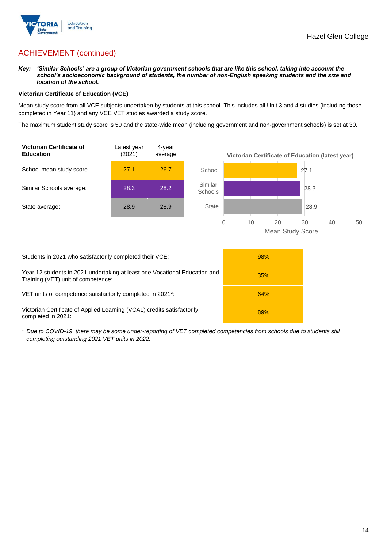

*Key: 'Similar Schools' are a group of Victorian government schools that are like this school, taking into account the school's socioeconomic background of students, the number of non-English speaking students and the size and location of the school.*

### **Victorian Certificate of Education (VCE)**

Mean study score from all VCE subjects undertaken by students at this school. This includes all Unit 3 and 4 studies (including those completed in Year 11) and any VCE VET studies awarded a study score.

The maximum student study score is 50 and the state-wide mean (including government and non-government schools) is set at 30.



| Students in 2021 who satisfactorily completed their VCE:                                                         | 98% |
|------------------------------------------------------------------------------------------------------------------|-----|
| Year 12 students in 2021 undertaking at least one Vocational Education and<br>Training (VET) unit of competence: | 35% |
| VET units of competence satisfactorily completed in 2021 <sup>*</sup> :                                          | 64% |
| Victorian Certificate of Applied Learning (VCAL) credits satisfactorily<br>completed in 2021:                    | 89% |

\* *Due to COVID-19, there may be some under-reporting of VET completed competencies from schools due to students still completing outstanding 2021 VET units in 2022.*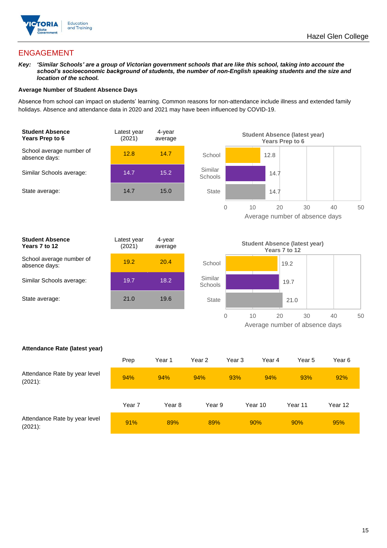

## ENGAGEMENT

*Key: 'Similar Schools' are a group of Victorian government schools that are like this school, taking into account the school's socioeconomic background of students, the number of non-English speaking students and the size and location of the school.*

### **Average Number of Student Absence Days**

Absence from school can impact on students' learning. Common reasons for non-attendance include illness and extended family holidays. Absence and attendance data in 2020 and 2021 may have been influenced by COVID-19.





| <b>Student Absence</b><br>Years 7 to 12   | Latest year<br>(2021) | 4-year<br>average |
|-------------------------------------------|-----------------------|-------------------|
| School average number of<br>absence days: | 19.2                  | 20.4              |
| Similar Schools average:                  | 19.7                  | 18.2              |
| State average:                            | 21.0                  | 19.6              |
|                                           |                       |                   |



#### **Attendance Rate (latest year)**

|                                             | Prep   | Year 1 | Year 2 | Year 3 | Year 4  | Year 5  | Year 6  |
|---------------------------------------------|--------|--------|--------|--------|---------|---------|---------|
| Attendance Rate by year level<br>$(2021)$ : | 94%    | 94%    | 94%    | 93%    | 94%     | 93%     | 92%     |
|                                             | Year 7 | Year 8 | Year 9 |        | Year 10 | Year 11 | Year 12 |
| Attendance Rate by year level<br>$(2021)$ : | 91%    | 89%    | 89%    |        | 90%     | 90%     | 95%     |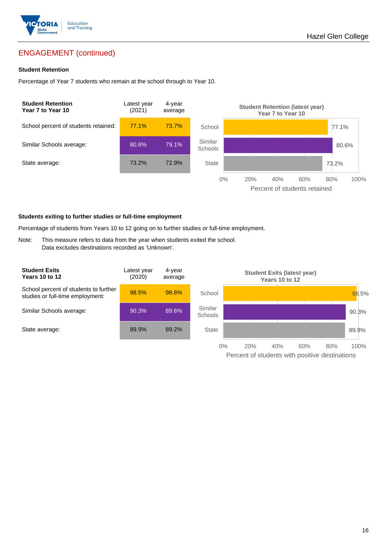

# ENGAGEMENT (continued)

### **Student Retention**

Percentage of Year 7 students who remain at the school through to Year 10.



#### **Students exiting to further studies or full-time employment**

Percentage of students from Years 10 to 12 going on to further studies or full-time employment.

Note: This measure refers to data from the year when students exited the school. Data excludes destinations recorded as 'Unknown'.

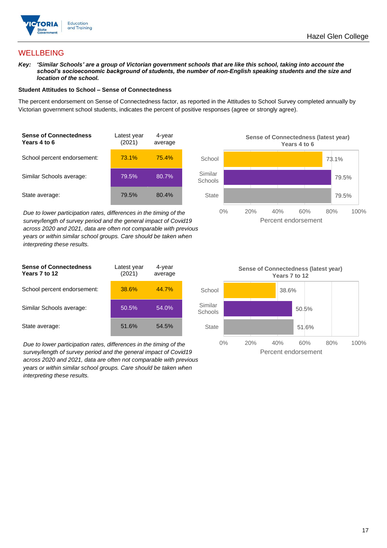

## **WELLBEING**

*Key: 'Similar Schools' are a group of Victorian government schools that are like this school, taking into account the school's socioeconomic background of students, the number of non-English speaking students and the size and location of the school.*

#### **Student Attitudes to School – Sense of Connectedness**

The percent endorsement on Sense of Connectedness factor, as reported in the Attitudes to School Survey completed annually by Victorian government school students, indicates the percent of positive responses (agree or strongly agree).

| <b>Sense of Connectedness</b><br>Years 4 to 6 | Latest year<br>(2021) | 4-year<br>average |  |
|-----------------------------------------------|-----------------------|-------------------|--|
| School percent endorsement:                   | 73.1%                 | 75.4%             |  |
| Similar Schools average:                      | 79.5%                 | 80.7%             |  |
| State average:                                | 79.5%                 | 80.4%             |  |

*Due to lower participation rates, differences in the timing of the survey/length of survey period and the general impact of Covid19 across 2020 and 2021, data are often not comparable with previous years or within similar school groups. Care should be taken when interpreting these results.*





*Due to lower participation rates, differences in the timing of the survey/length of survey period and the general impact of Covid19 across 2020 and 2021, data are often not comparable with previous years or within similar school groups. Care should be taken when interpreting these results.*

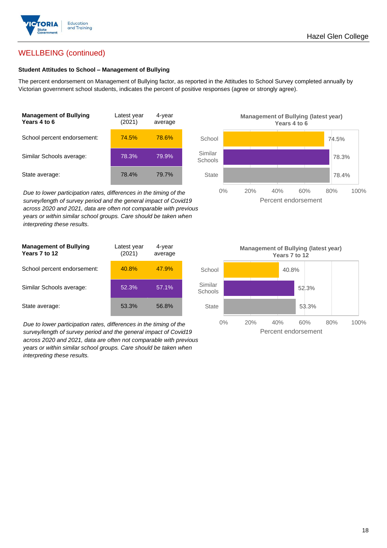

## WELLBEING (continued)

## **Student Attitudes to School – Management of Bullying**

The percent endorsement on Management of Bullying factor, as reported in the Attitudes to School Survey completed annually by Victorian government school students, indicates the percent of positive responses (agree or strongly agree).

| <b>Management of Bullying</b><br>Years 4 to 6 | Latest year<br>(2021) | 4-year<br>average |  |
|-----------------------------------------------|-----------------------|-------------------|--|
| School percent endorsement:                   | 74.5%                 | 78.6%             |  |
| Similar Schools average:                      | 78.3%                 | 79.9%             |  |
| State average:                                | 78.4%                 | 79.7%             |  |

*Due to lower participation rates, differences in the timing of the survey/length of survey period and the general impact of Covid19 across 2020 and 2021, data are often not comparable with previous years or within similar school groups. Care should be taken when interpreting these results.*

| <b>Management of Bullying</b><br>Years 7 to 12 | Latest year<br>(2021) | 4-year<br>average |  |
|------------------------------------------------|-----------------------|-------------------|--|
| School percent endorsement:                    | 40.8%                 | 47.9%             |  |
| Similar Schools average:                       | 52.3%                 | 57.1%             |  |
| State average:                                 | 53.3%                 | 56.8%             |  |

*Due to lower participation rates, differences in the timing of the survey/length of survey period and the general impact of Covid19 across 2020 and 2021, data are often not comparable with previous years or within similar school groups. Care should be taken when interpreting these results.*



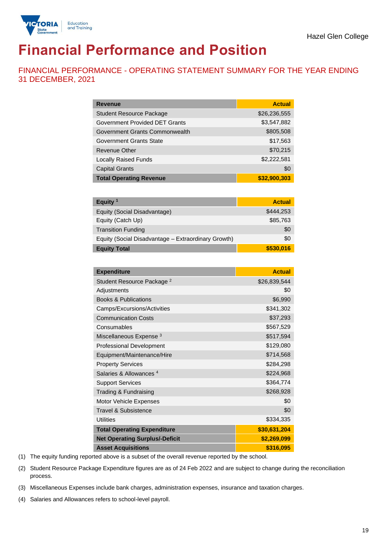

# **Financial Performance and Position**

FINANCIAL PERFORMANCE - OPERATING STATEMENT SUMMARY FOR THE YEAR ENDING 31 DECEMBER, 2021

| <b>Revenue</b>                  | <b>Actual</b> |
|---------------------------------|---------------|
| <b>Student Resource Package</b> | \$26,236,555  |
| Government Provided DET Grants  | \$3,547,882   |
| Government Grants Commonwealth  | \$805,508     |
| <b>Government Grants State</b>  | \$17,563      |
| <b>Revenue Other</b>            | \$70,215      |
| <b>Locally Raised Funds</b>     | \$2,222,581   |
| <b>Capital Grants</b>           | \$0           |
| <b>Total Operating Revenue</b>  | \$32,900,303  |

| Equity <sup>1</sup>                                 | <b>Actual</b> |
|-----------------------------------------------------|---------------|
| Equity (Social Disadvantage)                        | \$444,253     |
| Equity (Catch Up)                                   | \$85,763      |
| <b>Transition Funding</b>                           | \$0           |
| Equity (Social Disadvantage - Extraordinary Growth) | \$0           |
| <b>Equity Total</b>                                 | \$530,016     |

| <b>Expenditure</b>                    | <b>Actual</b> |
|---------------------------------------|---------------|
| Student Resource Package <sup>2</sup> | \$26,839,544  |
| Adjustments                           | \$0           |
| <b>Books &amp; Publications</b>       | \$6,990       |
| Camps/Excursions/Activities           | \$341,302     |
| <b>Communication Costs</b>            | \$37,293      |
| Consumables                           | \$567,529     |
| Miscellaneous Expense <sup>3</sup>    | \$517,594     |
| <b>Professional Development</b>       | \$129,080     |
| Equipment/Maintenance/Hire            | \$714,568     |
| <b>Property Services</b>              | \$284,298     |
| Salaries & Allowances <sup>4</sup>    | \$224,968     |
| <b>Support Services</b>               | \$364,774     |
| Trading & Fundraising                 | \$268,928     |
| Motor Vehicle Expenses                | \$0           |
| Travel & Subsistence                  | \$0           |
| <b>Utilities</b>                      | \$334,335     |
| <b>Total Operating Expenditure</b>    | \$30,631,204  |
| <b>Net Operating Surplus/-Deficit</b> | \$2,269,099   |
| <b>Asset Acquisitions</b>             | \$316,095     |

(1) The equity funding reported above is a subset of the overall revenue reported by the school.

(2) Student Resource Package Expenditure figures are as of 24 Feb 2022 and are subject to change during the reconciliation process.

(3) Miscellaneous Expenses include bank charges, administration expenses, insurance and taxation charges.

(4) Salaries and Allowances refers to school-level payroll.